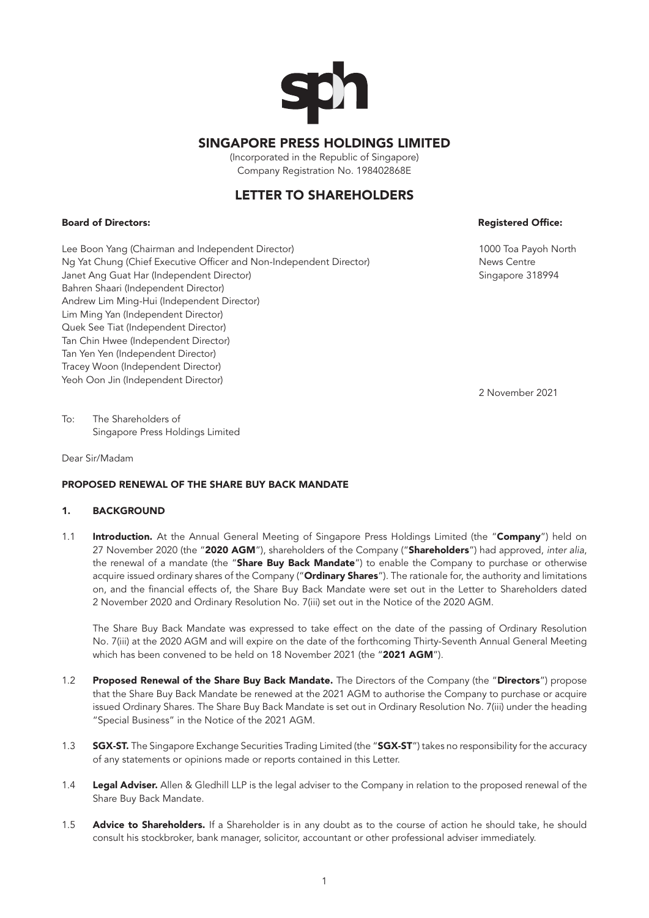

# SINGAPORE PRESS HOLDINGS LIMITED

(Incorporated in the Republic of Singapore) Company Registration No. 198402868E

# LETTER TO SHAREHOLDERS

## Board of Directors: Registered Office:

Lee Boon Yang (Chairman and Independent Director) 1000 Toa Payoh North Ng Yat Chung (Chief Executive Officer and Non-Independent Director) News Centre Janet Ang Guat Har (Independent Director) Singapore 318994 Bahren Shaari (Independent Director) Andrew Lim Ming-Hui (Independent Director) Lim Ming Yan (Independent Director) Quek See Tiat (Independent Director) Tan Chin Hwee (Independent Director) Tan Yen Yen (Independent Director) Tracey Woon (Independent Director) Yeoh Oon Jin (Independent Director)

2 November 2021

To: The Shareholders of Singapore Press Holdings Limited

Dear Sir/Madam

## PROPOSED RENEWAL OF THE SHARE BUY BACK MANDATE

## 1. BACKGROUND

1.1 Introduction. At the Annual General Meeting of Singapore Press Holdings Limited (the "Company") held on 27 November 2020 (the "2020 AGM"), shareholders of the Company ("Shareholders") had approved, *inter alia*, the renewal of a mandate (the "Share Buy Back Mandate") to enable the Company to purchase or otherwise acquire issued ordinary shares of the Company ("Ordinary Shares"). The rationale for, the authority and limitations on, and the financial effects of, the Share Buy Back Mandate were set out in the Letter to Shareholders dated 2 November 2020 and Ordinary Resolution No. 7(iii) set out in the Notice of the 2020 AGM.

The Share Buy Back Mandate was expressed to take effect on the date of the passing of Ordinary Resolution No. 7(iii) at the 2020 AGM and will expire on the date of the forthcoming Thirty-Seventh Annual General Meeting which has been convened to be held on 18 November 2021 (the "2021 AGM").

- 1.2 Proposed Renewal of the Share Buy Back Mandate. The Directors of the Company (the "Directors") propose that the Share Buy Back Mandate be renewed at the 2021 AGM to authorise the Company to purchase or acquire issued Ordinary Shares. The Share Buy Back Mandate is set out in Ordinary Resolution No. 7(iii) under the heading "Special Business" in the Notice of the 2021 AGM.
- 1.3 **SGX-ST.** The Singapore Exchange Securities Trading Limited (the "SGX-ST") takes no responsibility for the accuracy of any statements or opinions made or reports contained in this Letter.
- 1.4 Legal Adviser. Allen & Gledhill LLP is the legal adviser to the Company in relation to the proposed renewal of the Share Buy Back Mandate.
- 1.5 Advice to Shareholders. If a Shareholder is in any doubt as to the course of action he should take, he should consult his stockbroker, bank manager, solicitor, accountant or other professional adviser immediately.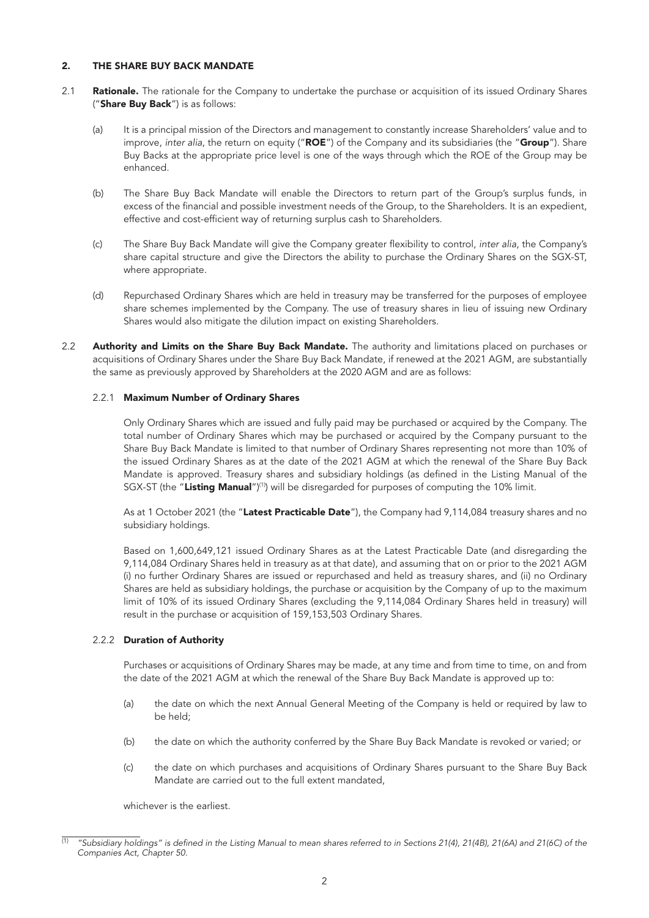## 2. THE SHARE BUY BACK MANDATE

- 2.1 Rationale. The rationale for the Company to undertake the purchase or acquisition of its issued Ordinary Shares ("Share Buy Back") is as follows:
	- (a) It is a principal mission of the Directors and management to constantly increase Shareholders' value and to improve, *inter alia*, the return on equity ("ROE") of the Company and its subsidiaries (the "Group"). Share Buy Backs at the appropriate price level is one of the ways through which the ROE of the Group may be enhanced.
	- (b) The Share Buy Back Mandate will enable the Directors to return part of the Group's surplus funds, in excess of the financial and possible investment needs of the Group, to the Shareholders. It is an expedient, effective and cost-efficient way of returning surplus cash to Shareholders.
	- (c) The Share Buy Back Mandate will give the Company greater flexibility to control, *inter alia*, the Company's share capital structure and give the Directors the ability to purchase the Ordinary Shares on the SGX-ST, where appropriate.
	- (d) Repurchased Ordinary Shares which are held in treasury may be transferred for the purposes of employee share schemes implemented by the Company. The use of treasury shares in lieu of issuing new Ordinary Shares would also mitigate the dilution impact on existing Shareholders.
- 2.2 Authority and Limits on the Share Buy Back Mandate. The authority and limitations placed on purchases or acquisitions of Ordinary Shares under the Share Buy Back Mandate, if renewed at the 2021 AGM, are substantially the same as previously approved by Shareholders at the 2020 AGM and are as follows:

## 2.2.1 Maximum Number of Ordinary Shares

Only Ordinary Shares which are issued and fully paid may be purchased or acquired by the Company. The total number of Ordinary Shares which may be purchased or acquired by the Company pursuant to the Share Buy Back Mandate is limited to that number of Ordinary Shares representing not more than 10% of the issued Ordinary Shares as at the date of the 2021 AGM at which the renewal of the Share Buy Back Mandate is approved. Treasury shares and subsidiary holdings (as defined in the Listing Manual of the SGX-ST (the "Listing Manual")<sup>(1)</sup>) will be disregarded for purposes of computing the 10% limit.

As at 1 October 2021 (the "Latest Practicable Date"), the Company had 9,114,084 treasury shares and no subsidiary holdings.

Based on 1,600,649,121 issued Ordinary Shares as at the Latest Practicable Date (and disregarding the 9,114,084 Ordinary Shares held in treasury as at that date), and assuming that on or prior to the 2021 AGM (i) no further Ordinary Shares are issued or repurchased and held as treasury shares, and (ii) no Ordinary Shares are held as subsidiary holdings, the purchase or acquisition by the Company of up to the maximum limit of 10% of its issued Ordinary Shares (excluding the 9,114,084 Ordinary Shares held in treasury) will result in the purchase or acquisition of 159,153,503 Ordinary Shares.

## 2.2.2 Duration of Authority

Purchases or acquisitions of Ordinary Shares may be made, at any time and from time to time, on and from the date of the 2021 AGM at which the renewal of the Share Buy Back Mandate is approved up to:

- (a) the date on which the next Annual General Meeting of the Company is held or required by law to be held;
- (b) the date on which the authority conferred by the Share Buy Back Mandate is revoked or varied; or
- (c) the date on which purchases and acquisitions of Ordinary Shares pursuant to the Share Buy Back Mandate are carried out to the full extent mandated,

whichever is the earliest.

<sup>(1)</sup> *"Subsidiary holdings" is defined in the Listing Manual to mean shares referred to in Sections 21(4), 21(4B), 21(6A) and 21(6C) of the Companies Act, Chapter 50.*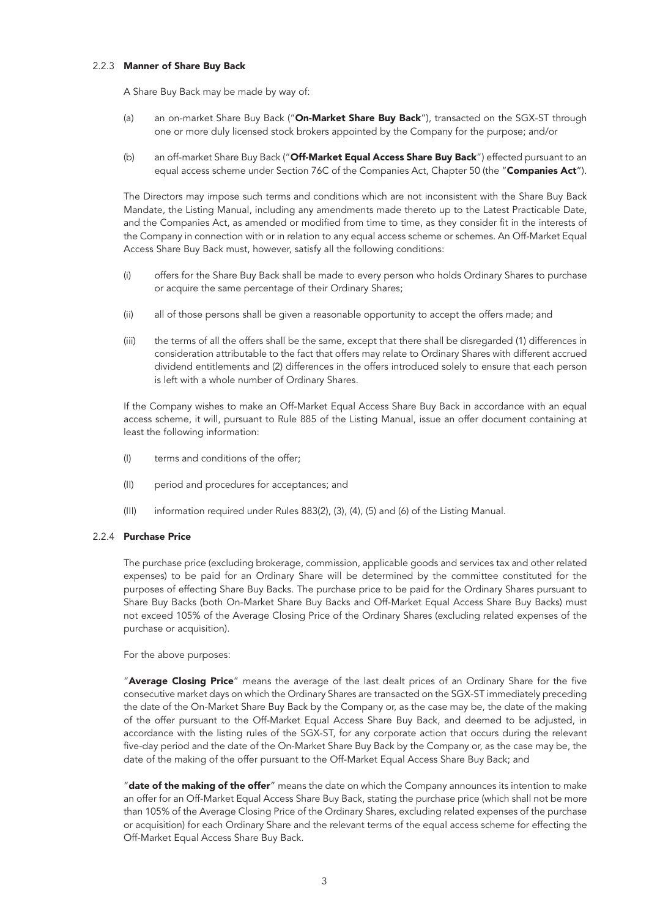### 2.2.3 Manner of Share Buy Back

A Share Buy Back may be made by way of:

- (a) an on-market Share Buy Back ("On-Market Share Buy Back"), transacted on the SGX-ST through one or more duly licensed stock brokers appointed by the Company for the purpose; and/or
- (b) an off-market Share Buy Back ("Off-Market Equal Access Share Buy Back") effected pursuant to an equal access scheme under Section 76C of the Companies Act, Chapter 50 (the "Companies Act").

The Directors may impose such terms and conditions which are not inconsistent with the Share Buy Back Mandate, the Listing Manual, including any amendments made thereto up to the Latest Practicable Date, and the Companies Act, as amended or modified from time to time, as they consider fit in the interests of the Company in connection with or in relation to any equal access scheme or schemes. An Off-Market Equal Access Share Buy Back must, however, satisfy all the following conditions:

- (i) offers for the Share Buy Back shall be made to every person who holds Ordinary Shares to purchase or acquire the same percentage of their Ordinary Shares;
- (ii) all of those persons shall be given a reasonable opportunity to accept the offers made; and
- (iii) the terms of all the offers shall be the same, except that there shall be disregarded (1) differences in consideration attributable to the fact that offers may relate to Ordinary Shares with different accrued dividend entitlements and (2) differences in the offers introduced solely to ensure that each person is left with a whole number of Ordinary Shares.

If the Company wishes to make an Off-Market Equal Access Share Buy Back in accordance with an equal access scheme, it will, pursuant to Rule 885 of the Listing Manual, issue an offer document containing at least the following information:

- (I) terms and conditions of the offer;
- (II) period and procedures for acceptances; and
- (III) information required under Rules 883(2), (3), (4), (5) and (6) of the Listing Manual.

## 2.2.4 Purchase Price

The purchase price (excluding brokerage, commission, applicable goods and services tax and other related expenses) to be paid for an Ordinary Share will be determined by the committee constituted for the purposes of effecting Share Buy Backs. The purchase price to be paid for the Ordinary Shares pursuant to Share Buy Backs (both On-Market Share Buy Backs and Off-Market Equal Access Share Buy Backs) must not exceed 105% of the Average Closing Price of the Ordinary Shares (excluding related expenses of the purchase or acquisition).

For the above purposes:

"Average Closing Price" means the average of the last dealt prices of an Ordinary Share for the five consecutive market days on which the Ordinary Shares are transacted on the SGX-ST immediately preceding the date of the On-Market Share Buy Back by the Company or, as the case may be, the date of the making of the offer pursuant to the Off-Market Equal Access Share Buy Back, and deemed to be adjusted, in accordance with the listing rules of the SGX-ST, for any corporate action that occurs during the relevant five-day period and the date of the On-Market Share Buy Back by the Company or, as the case may be, the date of the making of the offer pursuant to the Off-Market Equal Access Share Buy Back; and

"date of the making of the offer" means the date on which the Company announces its intention to make an offer for an Off-Market Equal Access Share Buy Back, stating the purchase price (which shall not be more than 105% of the Average Closing Price of the Ordinary Shares, excluding related expenses of the purchase or acquisition) for each Ordinary Share and the relevant terms of the equal access scheme for effecting the Off-Market Equal Access Share Buy Back.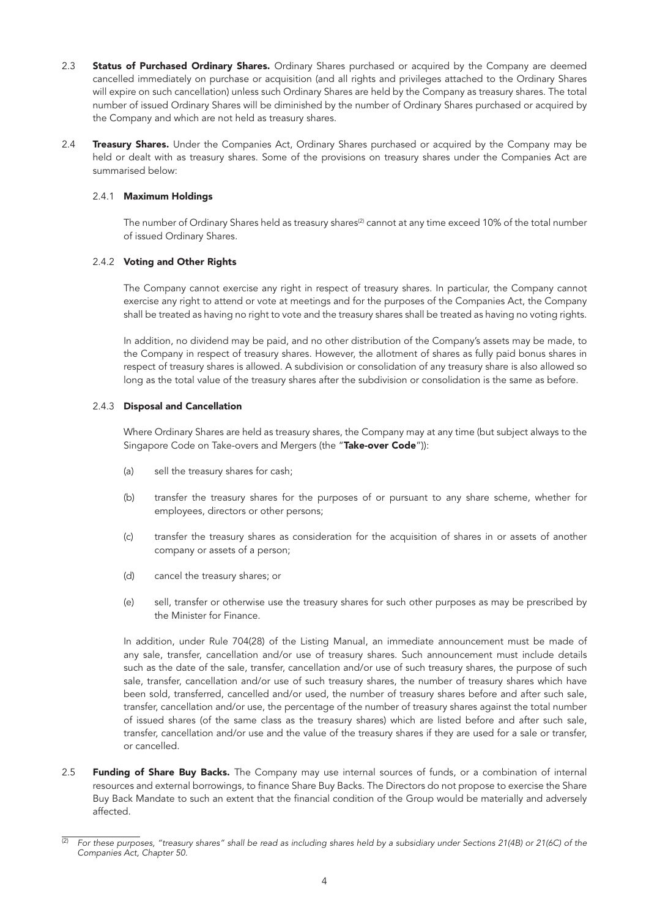- 2.3 Status of Purchased Ordinary Shares. Ordinary Shares purchased or acquired by the Company are deemed cancelled immediately on purchase or acquisition (and all rights and privileges attached to the Ordinary Shares will expire on such cancellation) unless such Ordinary Shares are held by the Company as treasury shares. The total number of issued Ordinary Shares will be diminished by the number of Ordinary Shares purchased or acquired by the Company and which are not held as treasury shares.
- 2.4 Treasury Shares. Under the Companies Act, Ordinary Shares purchased or acquired by the Company may be held or dealt with as treasury shares. Some of the provisions on treasury shares under the Companies Act are summarised below:

## 2.4.1 Maximum Holdings

The number of Ordinary Shares held as treasury shares<sup>(2)</sup> cannot at any time exceed 10% of the total number of issued Ordinary Shares.

## 2.4.2 Voting and Other Rights

The Company cannot exercise any right in respect of treasury shares. In particular, the Company cannot exercise any right to attend or vote at meetings and for the purposes of the Companies Act, the Company shall be treated as having no right to vote and the treasury shares shall be treated as having no voting rights.

In addition, no dividend may be paid, and no other distribution of the Company's assets may be made, to the Company in respect of treasury shares. However, the allotment of shares as fully paid bonus shares in respect of treasury shares is allowed. A subdivision or consolidation of any treasury share is also allowed so long as the total value of the treasury shares after the subdivision or consolidation is the same as before.

## 2.4.3 Disposal and Cancellation

Where Ordinary Shares are held as treasury shares, the Company may at any time (but subject always to the Singapore Code on Take-overs and Mergers (the "Take-over Code")):

- (a) sell the treasury shares for cash;
- (b) transfer the treasury shares for the purposes of or pursuant to any share scheme, whether for employees, directors or other persons;
- (c) transfer the treasury shares as consideration for the acquisition of shares in or assets of another company or assets of a person;
- (d) cancel the treasury shares; or
- (e) sell, transfer or otherwise use the treasury shares for such other purposes as may be prescribed by the Minister for Finance.

In addition, under Rule 704(28) of the Listing Manual, an immediate announcement must be made of any sale, transfer, cancellation and/or use of treasury shares. Such announcement must include details such as the date of the sale, transfer, cancellation and/or use of such treasury shares, the purpose of such sale, transfer, cancellation and/or use of such treasury shares, the number of treasury shares which have been sold, transferred, cancelled and/or used, the number of treasury shares before and after such sale, transfer, cancellation and/or use, the percentage of the number of treasury shares against the total number of issued shares (of the same class as the treasury shares) which are listed before and after such sale, transfer, cancellation and/or use and the value of the treasury shares if they are used for a sale or transfer, or cancelled.

2.5 Funding of Share Buy Backs. The Company may use internal sources of funds, or a combination of internal resources and external borrowings, to finance Share Buy Backs. The Directors do not propose to exercise the Share Buy Back Mandate to such an extent that the financial condition of the Group would be materially and adversely affected.

<sup>(2)</sup> *For these purposes, "treasury shares" shall be read as including shares held by a subsidiary under Sections 21(4B) or 21(6C) of the Companies Act, Chapter 50.*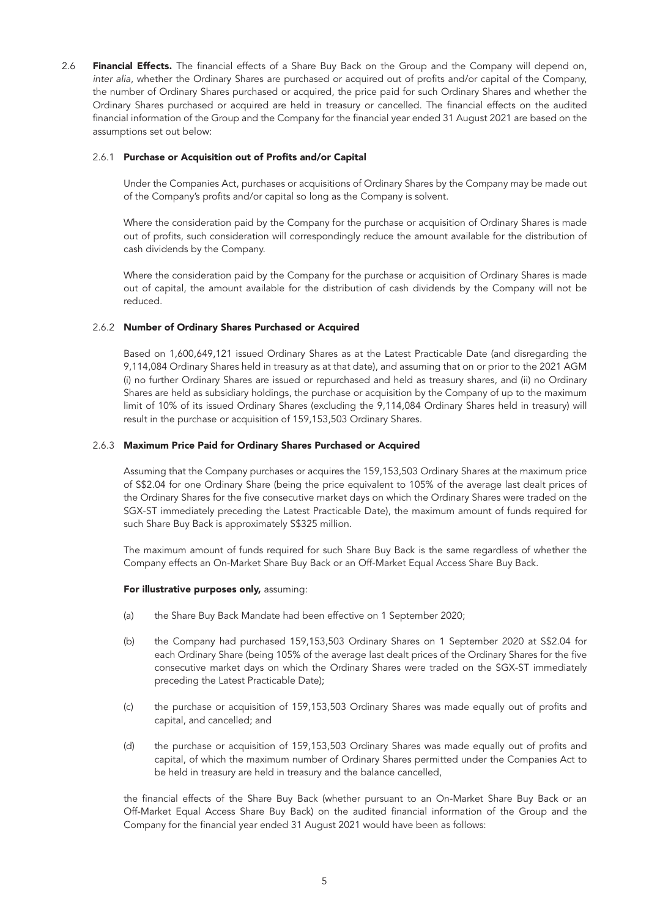2.6 Financial Effects. The financial effects of a Share Buy Back on the Group and the Company will depend on, *inter alia*, whether the Ordinary Shares are purchased or acquired out of profits and/or capital of the Company, the number of Ordinary Shares purchased or acquired, the price paid for such Ordinary Shares and whether the Ordinary Shares purchased or acquired are held in treasury or cancelled. The financial effects on the audited financial information of the Group and the Company for the financial year ended 31 August 2021 are based on the assumptions set out below:

## 2.6.1 Purchase or Acquisition out of Profits and/or Capital

Under the Companies Act, purchases or acquisitions of Ordinary Shares by the Company may be made out of the Company's profits and/or capital so long as the Company is solvent.

Where the consideration paid by the Company for the purchase or acquisition of Ordinary Shares is made out of profits, such consideration will correspondingly reduce the amount available for the distribution of cash dividends by the Company.

Where the consideration paid by the Company for the purchase or acquisition of Ordinary Shares is made out of capital, the amount available for the distribution of cash dividends by the Company will not be reduced.

## 2.6.2 Number of Ordinary Shares Purchased or Acquired

Based on 1,600,649,121 issued Ordinary Shares as at the Latest Practicable Date (and disregarding the 9,114,084 Ordinary Shares held in treasury as at that date), and assuming that on or prior to the 2021 AGM (i) no further Ordinary Shares are issued or repurchased and held as treasury shares, and (ii) no Ordinary Shares are held as subsidiary holdings, the purchase or acquisition by the Company of up to the maximum limit of 10% of its issued Ordinary Shares (excluding the 9,114,084 Ordinary Shares held in treasury) will result in the purchase or acquisition of 159,153,503 Ordinary Shares.

## 2.6.3 Maximum Price Paid for Ordinary Shares Purchased or Acquired

Assuming that the Company purchases or acquires the 159,153,503 Ordinary Shares at the maximum price of S\$2.04 for one Ordinary Share (being the price equivalent to 105% of the average last dealt prices of the Ordinary Shares for the five consecutive market days on which the Ordinary Shares were traded on the SGX-ST immediately preceding the Latest Practicable Date), the maximum amount of funds required for such Share Buy Back is approximately S\$325 million.

The maximum amount of funds required for such Share Buy Back is the same regardless of whether the Company effects an On-Market Share Buy Back or an Off-Market Equal Access Share Buy Back.

### For illustrative purposes only, assuming:

- (a) the Share Buy Back Mandate had been effective on 1 September 2020;
- (b) the Company had purchased 159,153,503 Ordinary Shares on 1 September 2020 at S\$2.04 for each Ordinary Share (being 105% of the average last dealt prices of the Ordinary Shares for the five consecutive market days on which the Ordinary Shares were traded on the SGX-ST immediately preceding the Latest Practicable Date);
- (c) the purchase or acquisition of 159,153,503 Ordinary Shares was made equally out of profits and capital, and cancelled; and
- (d) the purchase or acquisition of 159,153,503 Ordinary Shares was made equally out of profits and capital, of which the maximum number of Ordinary Shares permitted under the Companies Act to be held in treasury are held in treasury and the balance cancelled,

the financial effects of the Share Buy Back (whether pursuant to an On-Market Share Buy Back or an Off-Market Equal Access Share Buy Back) on the audited financial information of the Group and the Company for the financial year ended 31 August 2021 would have been as follows: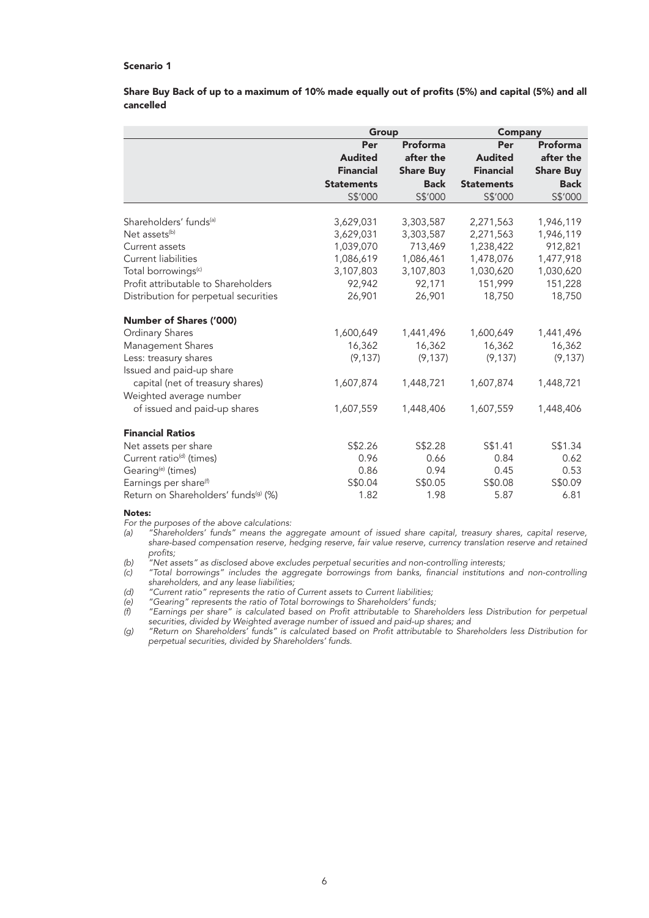## Scenario 1

Share Buy Back of up to a maximum of 10% made equally out of profits (5%) and capital (5%) and all cancelled

|                                                  | Group             |                  | <b>Company</b>    |                  |
|--------------------------------------------------|-------------------|------------------|-------------------|------------------|
|                                                  | Per               | Proforma         | Per               | <b>Proforma</b>  |
|                                                  | <b>Audited</b>    | after the        | <b>Audited</b>    | after the        |
|                                                  | <b>Financial</b>  | <b>Share Buy</b> | <b>Financial</b>  | <b>Share Buy</b> |
|                                                  | <b>Statements</b> | <b>Back</b>      | <b>Statements</b> | <b>Back</b>      |
|                                                  | S\$'000           | S\$'000          | S\$'000           | S\$'000          |
|                                                  |                   |                  |                   |                  |
| Shareholders' funds <sup>(a)</sup>               | 3,629,031         | 3,303,587        | 2,271,563         | 1,946,119        |
| Net assets <sup>(b)</sup>                        | 3,629,031         | 3,303,587        | 2,271,563         | 1,946,119        |
| Current assets                                   | 1,039,070         | 713,469          | 1,238,422         | 912,821          |
| <b>Current liabilities</b>                       | 1,086,619         | 1,086,461        | 1,478,076         | 1,477,918        |
| Total borrowings <sup>(c)</sup>                  | 3,107,803         | 3,107,803        | 1,030,620         | 1,030,620        |
| Profit attributable to Shareholders              | 92,942            | 92,171           | 151,999           | 151,228          |
| Distribution for perpetual securities            | 26,901            | 26,901           | 18,750            | 18,750           |
| Number of Shares ('000)                          |                   |                  |                   |                  |
| Ordinary Shares                                  | 1,600,649         | 1,441,496        | 1,600,649         | 1,441,496        |
| Management Shares                                | 16,362            | 16,362           | 16,362            | 16,362           |
| Less: treasury shares                            | (9, 137)          | (9, 137)         | (9, 137)          | (9, 137)         |
| Issued and paid-up share                         |                   |                  |                   |                  |
| capital (net of treasury shares)                 | 1,607,874         | 1,448,721        | 1,607,874         | 1,448,721        |
| Weighted average number                          |                   |                  |                   |                  |
| of issued and paid-up shares                     | 1,607,559         | 1,448,406        | 1,607,559         | 1,448,406        |
| <b>Financial Ratios</b>                          |                   |                  |                   |                  |
| Net assets per share                             | S\$2.26           | S\$2.28          | S\$1.41           | S\$1.34          |
| Current ratio <sup>(d)</sup> (times)             | 0.96              | 0.66             | 0.84              | 0.62             |
| Gearing <sup>(e)</sup> (times)                   | 0.86              | 0.94             | 0.45              | 0.53             |
| Earnings per share <sup>(f)</sup>                | S\$0.04           | S\$0.05          | S\$0.08           | S\$0.09          |
| Return on Shareholders' funds <sup>(g)</sup> (%) | 1.82              | 1.98             | 5.87              | 6.81             |

#### Notes:

*For the purposes of the above calculations:*

*(a) "Shareholders' funds" means the aggregate amount of issued share capital, treasury shares, capital reserve, share-based compensation reserve, hedging reserve, fair value reserve, currency translation reserve and retained profits;*

*(b) "Net assets" as disclosed above excludes perpetual securities and non-controlling interests;*

*(c) "Total borrowings" includes the aggregate borrowings from banks, financial institutions and non-controlling shareholders, and any lease liabilities;*

*(d) "Current ratio" represents the ratio of Current assets to Current liabilities;*

*(e) "Gearing" represents the ratio of Total borrowings to Shareholders' funds;*

*(f) "Earnings per share" is calculated based on Profit attributable to Shareholders less Distribution for perpetual securities, divided by Weighted average number of issued and paid-up shares; and*

*(g) "Return on Shareholders' funds" is calculated based on Profit attributable to Shareholders less Distribution for perpetual securities, divided by Shareholders' funds.*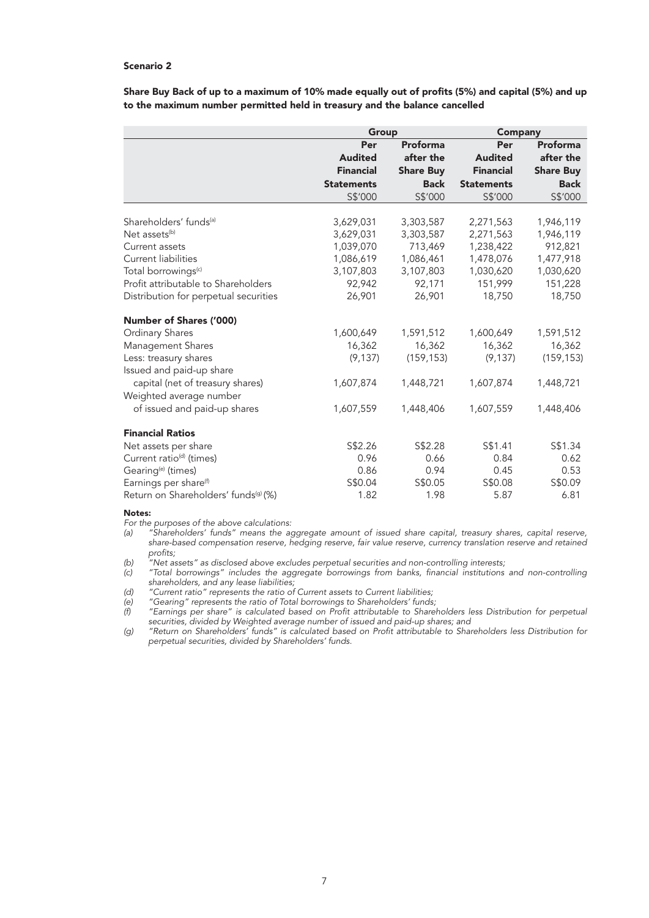## Scenario 2

Share Buy Back of up to a maximum of 10% made equally out of profits (5%) and capital (5%) and up to the maximum number permitted held in treasury and the balance cancelled

|                                                  | Group             |                  | Company           |                  |
|--------------------------------------------------|-------------------|------------------|-------------------|------------------|
|                                                  | Per               | Proforma         | Per               | Proforma         |
|                                                  | <b>Audited</b>    | after the        | <b>Audited</b>    | after the        |
|                                                  | <b>Financial</b>  | <b>Share Buy</b> | <b>Financial</b>  | <b>Share Buy</b> |
|                                                  | <b>Statements</b> | <b>Back</b>      | <b>Statements</b> | <b>Back</b>      |
|                                                  | S\$'000           | S\$'000          | S\$'000           | S\$'000          |
|                                                  |                   |                  |                   |                  |
| Shareholders' funds <sup>(a)</sup>               | 3,629,031         | 3,303,587        | 2,271,563         | 1,946,119        |
| Net assets <sup>(b)</sup>                        | 3,629,031         | 3,303,587        | 2,271,563         | 1,946,119        |
| Current assets                                   | 1,039,070         | 713,469          | 1,238,422         | 912,821          |
| Current liabilities                              | 1,086,619         | 1,086,461        | 1,478,076         | 1,477,918        |
| Total borrowings <sup>(c)</sup>                  | 3,107,803         | 3,107,803        | 1,030,620         | 1,030,620        |
| Profit attributable to Shareholders              | 92,942            | 92,171           | 151,999           | 151,228          |
| Distribution for perpetual securities            | 26,901            | 26,901           | 18,750            | 18,750           |
| Number of Shares ('000)                          |                   |                  |                   |                  |
| <b>Ordinary Shares</b>                           | 1,600,649         | 1,591,512        | 1,600,649         | 1,591,512        |
| Management Shares                                | 16,362            | 16,362           | 16,362            | 16,362           |
| Less: treasury shares                            | (9, 137)          | (159, 153)       | (9, 137)          | (159, 153)       |
| Issued and paid-up share                         |                   |                  |                   |                  |
| capital (net of treasury shares)                 | 1,607,874         | 1,448,721        | 1,607,874         | 1,448,721        |
| Weighted average number                          |                   |                  |                   |                  |
| of issued and paid-up shares                     | 1,607,559         | 1,448,406        | 1,607,559         | 1,448,406        |
| <b>Financial Ratios</b>                          |                   |                  |                   |                  |
| Net assets per share                             | S\$2.26           | S\$2.28          | S\$1.41           | S\$1.34          |
| Current ratio <sup>(d)</sup> (times)             | 0.96              | 0.66             | 0.84              | 0.62             |
| Gearing <sup>(e)</sup> (times)                   | 0.86              | 0.94             | 0.45              | 0.53             |
| Earnings per share <sup>(f)</sup>                | S\$0.04           | S\$0.05          | S\$0.08           | S\$0.09          |
| Return on Shareholders' funds <sup>(g)</sup> (%) | 1.82              | 1.98             | 5.87              | 6.81             |

#### Notes:

*For the purposes of the above calculations:*

*(a) "Shareholders' funds" means the aggregate amount of issued share capital, treasury shares, capital reserve, share-based compensation reserve, hedging reserve, fair value reserve, currency translation reserve and retained profits;*

*(b) "Net assets" as disclosed above excludes perpetual securities and non-controlling interests;*

*(c) "Total borrowings" includes the aggregate borrowings from banks, financial institutions and non-controlling shareholders, and any lease liabilities;*

*(d) "Current ratio" represents the ratio of Current assets to Current liabilities;* 

*(e) "Gearing" represents the ratio of Total borrowings to Shareholders' funds;*

*(f) "Earnings per share" is calculated based on Profit attributable to Shareholders less Distribution for perpetual securities, divided by Weighted average number of issued and paid-up shares; and*

*(g) "Return on Shareholders' funds" is calculated based on Profit attributable to Shareholders less Distribution for perpetual securities, divided by Shareholders' funds.*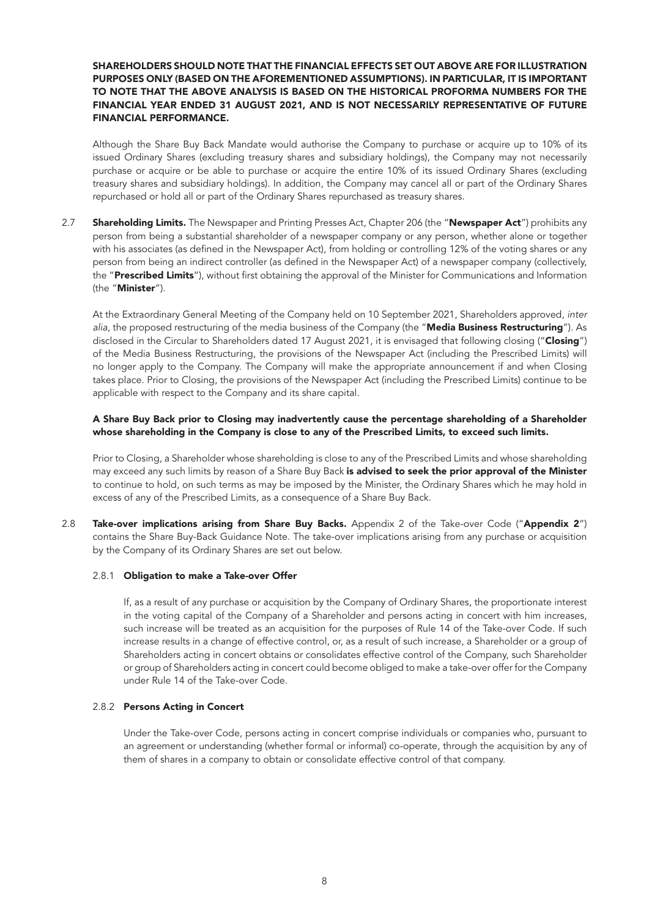## SHAREHOLDERS SHOULD NOTE THAT THE FINANCIAL EFFECTS SET OUT ABOVE ARE FOR ILLUSTRATION PURPOSES ONLY (BASED ON THE AFOREMENTIONED ASSUMPTIONS). IN PARTICULAR, IT IS IMPORTANT TO NOTE THAT THE ABOVE ANALYSIS IS BASED ON THE HISTORICAL PROFORMA NUMBERS FOR THE FINANCIAL YEAR ENDED 31 AUGUST 2021, AND IS NOT NECESSARILY REPRESENTATIVE OF FUTURE FINANCIAL PERFORMANCE.

Although the Share Buy Back Mandate would authorise the Company to purchase or acquire up to 10% of its issued Ordinary Shares (excluding treasury shares and subsidiary holdings), the Company may not necessarily purchase or acquire or be able to purchase or acquire the entire 10% of its issued Ordinary Shares (excluding treasury shares and subsidiary holdings). In addition, the Company may cancel all or part of the Ordinary Shares repurchased or hold all or part of the Ordinary Shares repurchased as treasury shares.

2.7 Shareholding Limits. The Newspaper and Printing Presses Act, Chapter 206 (the "Newspaper Act") prohibits any person from being a substantial shareholder of a newspaper company or any person, whether alone or together with his associates (as defined in the Newspaper Act), from holding or controlling 12% of the voting shares or any person from being an indirect controller (as defined in the Newspaper Act) of a newspaper company (collectively, the "Prescribed Limits"), without first obtaining the approval of the Minister for Communications and Information (the "Minister").

At the Extraordinary General Meeting of the Company held on 10 September 2021, Shareholders approved, *inter alia*, the proposed restructuring of the media business of the Company (the "Media Business Restructuring"). As disclosed in the Circular to Shareholders dated 17 August 2021, it is envisaged that following closing ("Closing") of the Media Business Restructuring, the provisions of the Newspaper Act (including the Prescribed Limits) will no longer apply to the Company. The Company will make the appropriate announcement if and when Closing takes place. Prior to Closing, the provisions of the Newspaper Act (including the Prescribed Limits) continue to be applicable with respect to the Company and its share capital.

## A Share Buy Back prior to Closing may inadvertently cause the percentage shareholding of a Shareholder whose shareholding in the Company is close to any of the Prescribed Limits, to exceed such limits.

Prior to Closing, a Shareholder whose shareholding is close to any of the Prescribed Limits and whose shareholding may exceed any such limits by reason of a Share Buy Back is advised to seek the prior approval of the Minister to continue to hold, on such terms as may be imposed by the Minister, the Ordinary Shares which he may hold in excess of any of the Prescribed Limits, as a consequence of a Share Buy Back.

2.8 Take-over implications arising from Share Buy Backs. Appendix 2 of the Take-over Code ("Appendix 2") contains the Share Buy-Back Guidance Note. The take-over implications arising from any purchase or acquisition by the Company of its Ordinary Shares are set out below.

## 2.8.1 Obligation to make a Take-over Offer

If, as a result of any purchase or acquisition by the Company of Ordinary Shares, the proportionate interest in the voting capital of the Company of a Shareholder and persons acting in concert with him increases, such increase will be treated as an acquisition for the purposes of Rule 14 of the Take-over Code. If such increase results in a change of effective control, or, as a result of such increase, a Shareholder or a group of Shareholders acting in concert obtains or consolidates effective control of the Company, such Shareholder or group of Shareholders acting in concert could become obliged to make a take-over offer for the Company under Rule 14 of the Take-over Code.

### 2.8.2 Persons Acting in Concert

Under the Take-over Code, persons acting in concert comprise individuals or companies who, pursuant to an agreement or understanding (whether formal or informal) co-operate, through the acquisition by any of them of shares in a company to obtain or consolidate effective control of that company.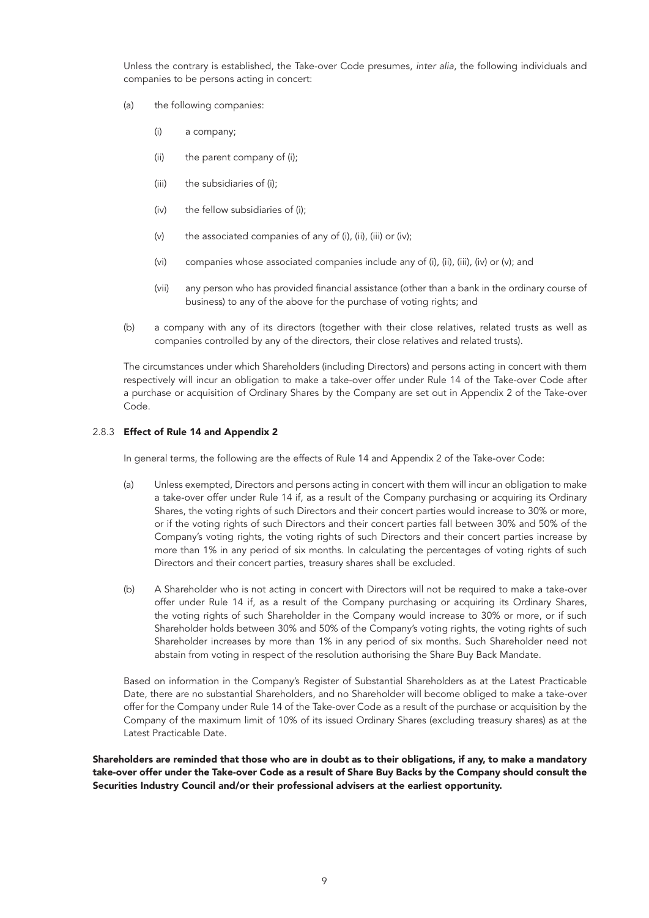Unless the contrary is established, the Take-over Code presumes, *inter alia*, the following individuals and companies to be persons acting in concert:

- (a) the following companies:
	- (i) a company;
	- (ii) the parent company of (i);
	- (iii) the subsidiaries of (i);
	- (iv) the fellow subsidiaries of (i);
	- (v) the associated companies of any of (i), (ii), (iii) or (iv);
	- (vi) companies whose associated companies include any of (i), (ii), (iii), (iv) or (v); and
	- (vii) any person who has provided financial assistance (other than a bank in the ordinary course of business) to any of the above for the purchase of voting rights; and
- (b) a company with any of its directors (together with their close relatives, related trusts as well as companies controlled by any of the directors, their close relatives and related trusts).

The circumstances under which Shareholders (including Directors) and persons acting in concert with them respectively will incur an obligation to make a take-over offer under Rule 14 of the Take-over Code after a purchase or acquisition of Ordinary Shares by the Company are set out in Appendix 2 of the Take-over Code.

## 2.8.3 Effect of Rule 14 and Appendix 2

In general terms, the following are the effects of Rule 14 and Appendix 2 of the Take-over Code:

- (a) Unless exempted, Directors and persons acting in concert with them will incur an obligation to make a take-over offer under Rule 14 if, as a result of the Company purchasing or acquiring its Ordinary Shares, the voting rights of such Directors and their concert parties would increase to 30% or more, or if the voting rights of such Directors and their concert parties fall between 30% and 50% of the Company's voting rights, the voting rights of such Directors and their concert parties increase by more than 1% in any period of six months. In calculating the percentages of voting rights of such Directors and their concert parties, treasury shares shall be excluded.
- (b) A Shareholder who is not acting in concert with Directors will not be required to make a take-over offer under Rule 14 if, as a result of the Company purchasing or acquiring its Ordinary Shares, the voting rights of such Shareholder in the Company would increase to 30% or more, or if such Shareholder holds between 30% and 50% of the Company's voting rights, the voting rights of such Shareholder increases by more than 1% in any period of six months. Such Shareholder need not abstain from voting in respect of the resolution authorising the Share Buy Back Mandate.

Based on information in the Company's Register of Substantial Shareholders as at the Latest Practicable Date, there are no substantial Shareholders, and no Shareholder will become obliged to make a take-over offer for the Company under Rule 14 of the Take-over Code as a result of the purchase or acquisition by the Company of the maximum limit of 10% of its issued Ordinary Shares (excluding treasury shares) as at the Latest Practicable Date.

Shareholders are reminded that those who are in doubt as to their obligations, if any, to make a mandatory take-over offer under the Take-over Code as a result of Share Buy Backs by the Company should consult the Securities Industry Council and/or their professional advisers at the earliest opportunity.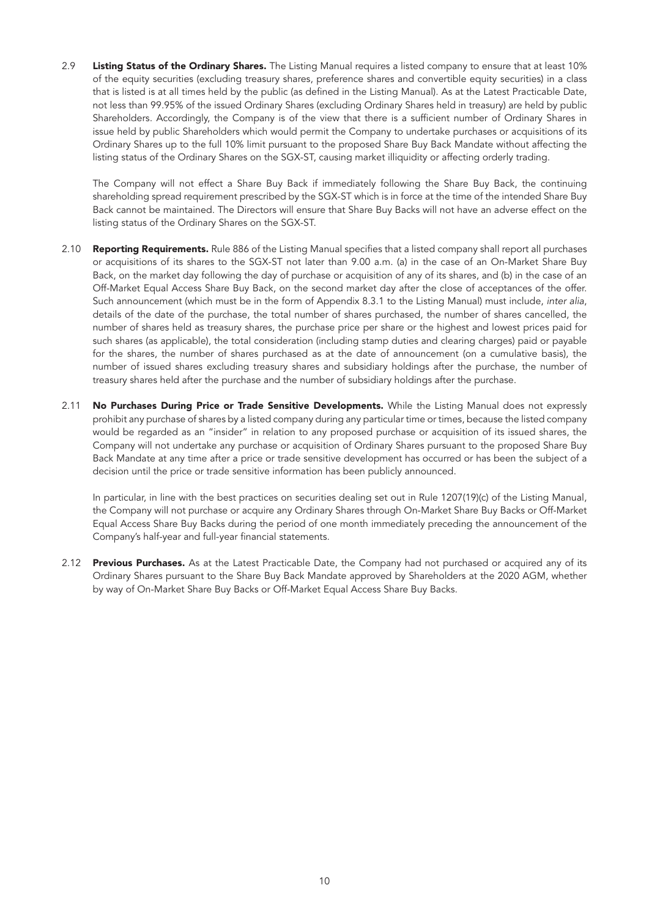2.9 Listing Status of the Ordinary Shares. The Listing Manual requires a listed company to ensure that at least 10% of the equity securities (excluding treasury shares, preference shares and convertible equity securities) in a class that is listed is at all times held by the public (as defined in the Listing Manual). As at the Latest Practicable Date, not less than 99.95% of the issued Ordinary Shares (excluding Ordinary Shares held in treasury) are held by public Shareholders. Accordingly, the Company is of the view that there is a sufficient number of Ordinary Shares in issue held by public Shareholders which would permit the Company to undertake purchases or acquisitions of its Ordinary Shares up to the full 10% limit pursuant to the proposed Share Buy Back Mandate without affecting the listing status of the Ordinary Shares on the SGX-ST, causing market illiquidity or affecting orderly trading.

The Company will not effect a Share Buy Back if immediately following the Share Buy Back, the continuing shareholding spread requirement prescribed by the SGX-ST which is in force at the time of the intended Share Buy Back cannot be maintained. The Directors will ensure that Share Buy Backs will not have an adverse effect on the listing status of the Ordinary Shares on the SGX-ST.

- 2.10 Reporting Requirements. Rule 886 of the Listing Manual specifies that a listed company shall report all purchases or acquisitions of its shares to the SGX-ST not later than 9.00 a.m. (a) in the case of an On-Market Share Buy Back, on the market day following the day of purchase or acquisition of any of its shares, and (b) in the case of an Off-Market Equal Access Share Buy Back, on the second market day after the close of acceptances of the offer. Such announcement (which must be in the form of Appendix 8.3.1 to the Listing Manual) must include, *inter alia*, details of the date of the purchase, the total number of shares purchased, the number of shares cancelled, the number of shares held as treasury shares, the purchase price per share or the highest and lowest prices paid for such shares (as applicable), the total consideration (including stamp duties and clearing charges) paid or payable for the shares, the number of shares purchased as at the date of announcement (on a cumulative basis), the number of issued shares excluding treasury shares and subsidiary holdings after the purchase, the number of treasury shares held after the purchase and the number of subsidiary holdings after the purchase.
- 2.11 No Purchases During Price or Trade Sensitive Developments. While the Listing Manual does not expressly prohibit any purchase of shares by a listed company during any particular time or times, because the listed company would be regarded as an "insider" in relation to any proposed purchase or acquisition of its issued shares, the Company will not undertake any purchase or acquisition of Ordinary Shares pursuant to the proposed Share Buy Back Mandate at any time after a price or trade sensitive development has occurred or has been the subject of a decision until the price or trade sensitive information has been publicly announced.

In particular, in line with the best practices on securities dealing set out in Rule 1207(19)(c) of the Listing Manual, the Company will not purchase or acquire any Ordinary Shares through On-Market Share Buy Backs or Off-Market Equal Access Share Buy Backs during the period of one month immediately preceding the announcement of the Company's half-year and full-year financial statements.

2.12 Previous Purchases. As at the Latest Practicable Date, the Company had not purchased or acquired any of its Ordinary Shares pursuant to the Share Buy Back Mandate approved by Shareholders at the 2020 AGM, whether by way of On-Market Share Buy Backs or Off-Market Equal Access Share Buy Backs.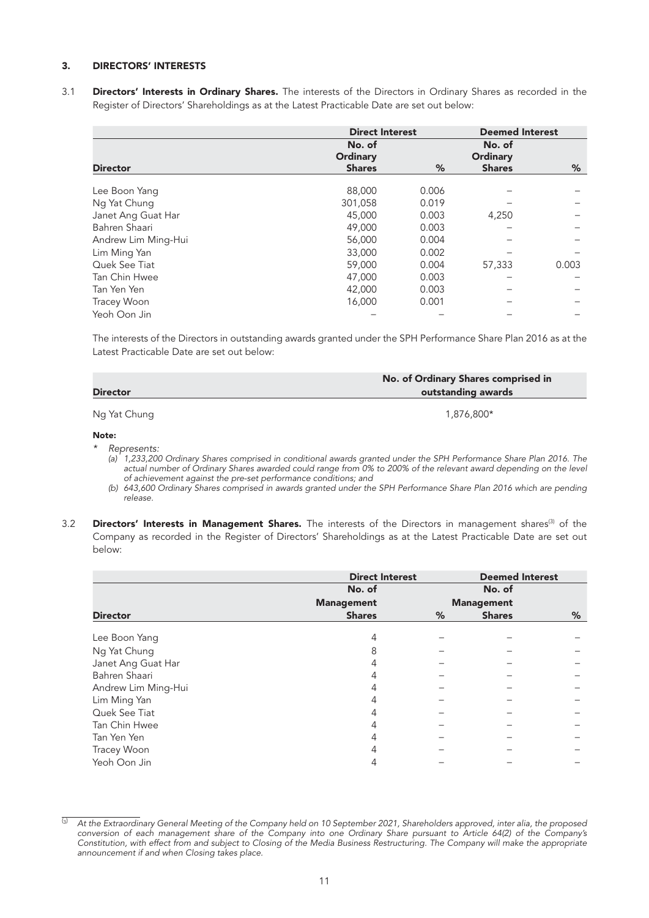## 3. DIRECTORS' INTERESTS

3.1 Directors' Interests in Ordinary Shares. The interests of the Directors in Ordinary Shares as recorded in the Register of Directors' Shareholdings as at the Latest Practicable Date are set out below:

|                     | <b>Direct Interest</b>    |       | <b>Deemed Interest</b>    |       |
|---------------------|---------------------------|-------|---------------------------|-------|
|                     | No. of<br><b>Ordinary</b> |       | No. of<br><b>Ordinary</b> |       |
| <b>Director</b>     | <b>Shares</b>             | %     | <b>Shares</b>             | %     |
| Lee Boon Yang       | 88,000                    | 0.006 |                           |       |
| Ng Yat Chung        | 301,058                   | 0.019 |                           |       |
| Janet Ang Guat Har  | 45,000                    | 0.003 | 4,250                     |       |
| Bahren Shaari       | 49,000                    | 0.003 |                           |       |
| Andrew Lim Ming-Hui | 56,000                    | 0.004 |                           |       |
| Lim Ming Yan        | 33,000                    | 0.002 |                           |       |
| Quek See Tiat       | 59,000                    | 0.004 | 57,333                    | 0.003 |
| Tan Chin Hwee       | 47,000                    | 0.003 |                           |       |
| Tan Yen Yen         | 42,000                    | 0.003 |                           |       |
| Tracey Woon         | 16,000                    | 0.001 |                           |       |
| Yeoh Oon Jin        |                           |       |                           |       |

The interests of the Directors in outstanding awards granted under the SPH Performance Share Plan 2016 as at the Latest Practicable Date are set out below:

| <b>Director</b> | No. of Ordinary Shares comprised in<br>outstanding awards |  |  |
|-----------------|-----------------------------------------------------------|--|--|
| Ng Yat Chung    | 1,876,800*                                                |  |  |

#### Note:

*\* Represents:* 

*(a) 1,233,200 Ordinary Shares comprised in conditional awards granted under the SPH Performance Share Plan 2016. The actual number of Ordinary Shares awarded could range from 0% to 200% of the relevant award depending on the level of achievement against the pre-set performance conditions; and*

*(b) 643,600 Ordinary Shares comprised in awards granted under the SPH Performance Share Plan 2016 which are pending release.* 

<sup>3.2</sup> Directors' Interests in Management Shares. The interests of the Directors in management shares<sup>(3)</sup> of the Company as recorded in the Register of Directors' Shareholdings as at the Latest Practicable Date are set out below:

|                     | <b>Direct Interest</b> |                   | <b>Deemed Interest</b> |   |
|---------------------|------------------------|-------------------|------------------------|---|
|                     | No. of                 |                   | No. of                 |   |
|                     | <b>Management</b>      | <b>Management</b> |                        |   |
| <b>Director</b>     | <b>Shares</b>          | %                 | <b>Shares</b>          | % |
| Lee Boon Yang       | 4                      |                   |                        |   |
| Ng Yat Chung        | 8                      |                   |                        |   |
| Janet Ang Guat Har  | 4                      |                   |                        |   |
| Bahren Shaari       | 4                      |                   |                        |   |
| Andrew Lim Ming-Hui |                        |                   |                        |   |
| Lim Ming Yan        |                        |                   |                        |   |
| Quek See Tiat       |                        |                   |                        |   |
| Tan Chin Hwee       | 4                      |                   |                        |   |
| Tan Yen Yen         |                        |                   |                        |   |
| Tracey Woon         |                        |                   |                        |   |
| Yeoh Oon Jin        |                        |                   |                        |   |

<sup>&</sup>lt;sup>(3)</sup> At the Extraordinary General Meeting of the Company held on 10 September 2021, Shareholders approved, inter alia, the proposed conversion of each management share of the Company into one Ordinary Share pursuant to Article 64(2) of the Company's *Constitution, with effect from and subject to Closing of the Media Business Restructuring. The Company will make the appropriate announcement if and when Closing takes place.*